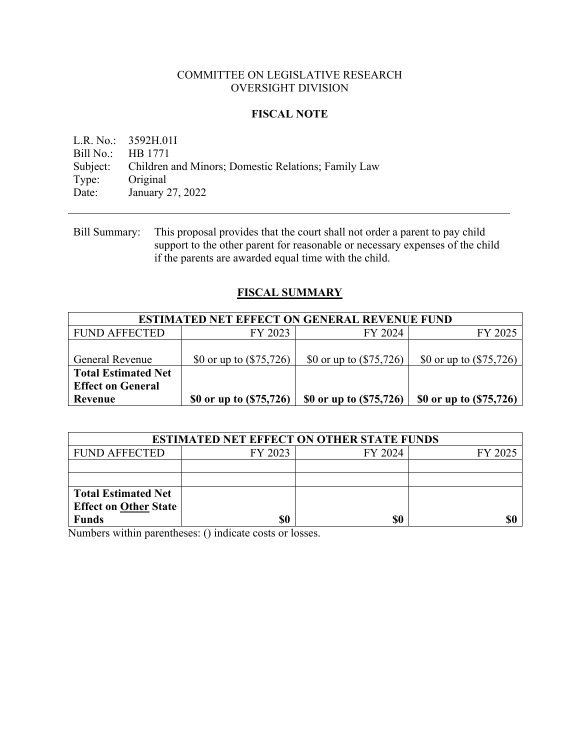## COMMITTEE ON LEGISLATIVE RESEARCH OVERSIGHT DIVISION

# **FISCAL NOTE**

L.R. No.: 3592H.01I Bill No.: HB 1771 Subject: Children and Minors; Domestic Relations; Family Law Type: Original Date: January 27, 2022

# **FISCAL SUMMARY**

| <b>ESTIMATED NET EFFECT ON GENERAL REVENUE FUND</b> |                           |                           |                           |  |
|-----------------------------------------------------|---------------------------|---------------------------|---------------------------|--|
| <b>FUND AFFECTED</b>                                | FY 2023                   | FY 2024                   | FY 2025                   |  |
|                                                     |                           |                           |                           |  |
| General Revenue                                     | \$0 or up to $(\$75,726)$ | \$0 or up to $(\$75,726)$ | \$0 or up to $(\$75,726)$ |  |
| <b>Total Estimated Net</b>                          |                           |                           |                           |  |
| <b>Effect on General</b>                            |                           |                           |                           |  |
| Revenue                                             | \$0 or up to (\$75,726)   | \$0 or up to (\$75,726)   | \$0 or up to (\$75,726)   |  |

| <b>ESTIMATED NET EFFECT ON OTHER STATE FUNDS</b> |         |         |         |  |  |
|--------------------------------------------------|---------|---------|---------|--|--|
| <b>FUND AFFECTED</b>                             | FY 2023 | FY 2024 | FY 2025 |  |  |
|                                                  |         |         |         |  |  |
|                                                  |         |         |         |  |  |
| <b>Total Estimated Net</b>                       |         |         |         |  |  |
| <b>Effect on Other State</b>                     |         |         |         |  |  |
| <b>Funds</b>                                     | \$0     | \$0     | \$0     |  |  |

Numbers within parentheses: () indicate costs or losses.

Bill Summary: This proposal provides that the court shall not order a parent to pay child support to the other parent for reasonable or necessary expenses of the child if the parents are awarded equal time with the child.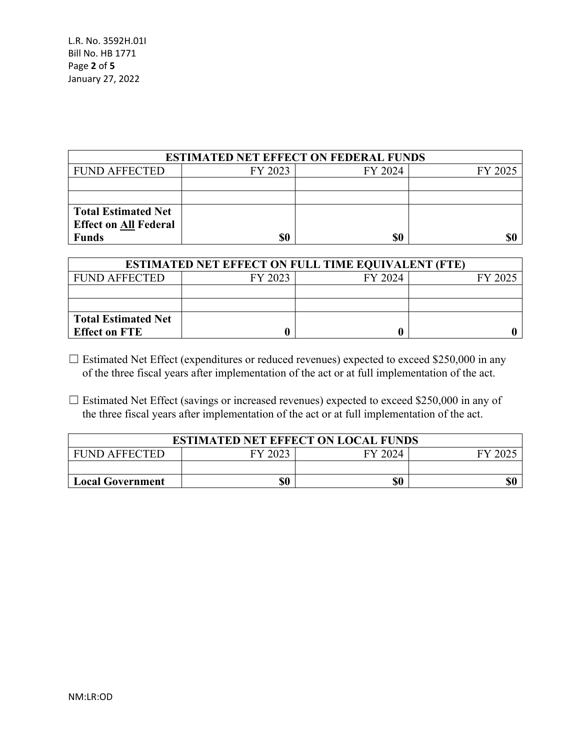| <b>ESTIMATED NET EFFECT ON FEDERAL FUNDS</b> |         |         |         |  |  |
|----------------------------------------------|---------|---------|---------|--|--|
| <b>FUND AFFECTED</b>                         | FY 2023 | FY 2024 | FY 2025 |  |  |
|                                              |         |         |         |  |  |
|                                              |         |         |         |  |  |
| <b>Total Estimated Net</b>                   |         |         |         |  |  |
| <b>Effect on All Federal</b>                 |         |         |         |  |  |
| <b>Funds</b>                                 | \$0     | \$0     | \$0     |  |  |

| <b>ESTIMATED NET EFFECT ON FULL TIME EQUIVALENT (FTE)</b> |         |         |         |  |  |
|-----------------------------------------------------------|---------|---------|---------|--|--|
| <b>FUND AFFECTED</b>                                      | FY 2023 | FY 2024 | FY 2025 |  |  |
|                                                           |         |         |         |  |  |
|                                                           |         |         |         |  |  |
| <b>Total Estimated Net</b>                                |         |         |         |  |  |
| <b>Effect on FTE</b>                                      |         |         |         |  |  |

- □ Estimated Net Effect (expenditures or reduced revenues) expected to exceed \$250,000 in any of the three fiscal years after implementation of the act or at full implementation of the act.
- □ Estimated Net Effect (savings or increased revenues) expected to exceed \$250,000 in any of the three fiscal years after implementation of the act or at full implementation of the act.

| <b>ESTIMATED NET EFFECT ON LOCAL FUNDS</b> |         |         |                  |  |
|--------------------------------------------|---------|---------|------------------|--|
| <b>FUND AFFECTED</b>                       | FY 2023 | FY 2024 | $FY$ 20 $\angle$ |  |
|                                            |         |         |                  |  |
| <b>Local Government</b>                    | \$0     | \$0     |                  |  |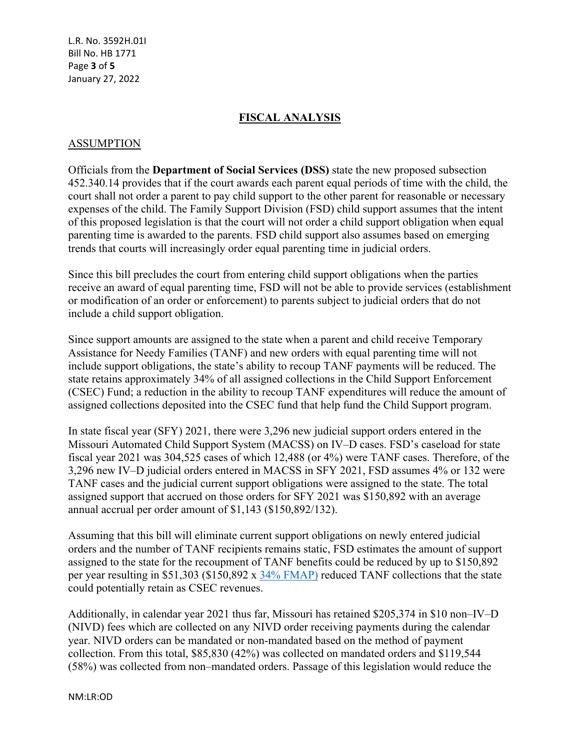L.R. No. 3592H.01I Bill No. HB 1771 Page **3** of **5** January 27, 2022

## **FISCAL ANALYSIS**

#### ASSUMPTION

Officials from the **Department of Social Services (DSS)** state the new proposed subsection 452.340.14 provides that if the court awards each parent equal periods of time with the child, the court shall not order a parent to pay child support to the other parent for reasonable or necessary expenses of the child. The Family Support Division (FSD) child support assumes that the intent of this proposed legislation is that the court will not order a child support obligation when equal parenting time is awarded to the parents. FSD child support also assumes based on emerging trends that courts will increasingly order equal parenting time in judicial orders.

Since this bill precludes the court from entering child support obligations when the parties receive an award of equal parenting time, FSD will not be able to provide services (establishment or modification of an order or enforcement) to parents subject to judicial orders that do not include a child support obligation.

Since support amounts are assigned to the state when a parent and child receive Temporary Assistance for Needy Families (TANF) and new orders with equal parenting time will not include support obligations, the state's ability to recoup TANF payments will be reduced. The state retains approximately 34% of all assigned collections in the Child Support Enforcement (CSEC) Fund; a reduction in the ability to recoup TANF expenditures will reduce the amount of assigned collections deposited into the CSEC fund that help fund the Child Support program.

In state fiscal year (SFY) 2021, there were 3,296 new judicial support orders entered in the Missouri Automated Child Support System (MACSS) on IV–D cases. FSD's caseload for state fiscal year 2021 was 304,525 cases of which 12,488 (or 4%) were TANF cases. Therefore, of the 3,296 new IV–D judicial orders entered in MACSS in SFY 2021, FSD assumes 4% or 132 were TANF cases and the judicial current support obligations were assigned to the state. The total assigned support that accrued on those orders for SFY 2021 was \$150,892 with an average annual accrual per order amount of \$1,143 (\$150,892/132).

Assuming that this bill will eliminate current support obligations on newly entered judicial orders and the number of TANF recipients remains static, FSD estimates the amount of support assigned to the state for the recoupment of TANF benefits could be reduced by up to \$150,892 per year resulting in \$51,303 (\$150,892 x [34% FMAP\)](https://www.federalregister.gov/documents/2017/11/21/2017-24953/federal-matching-shares-for-medicaid-the-childrens-health-insurance-program-and-aid-to-needy-aged) reduced TANF collections that the state could potentially retain as CSEC revenues.

Additionally, in calendar year 2021 thus far, Missouri has retained \$205,374 in \$10 non–IV–D (NIVD) fees which are collected on any NIVD order receiving payments during the calendar year. NIVD orders can be mandated or non-mandated based on the method of payment collection. From this total, \$85,830 (42%) was collected on mandated orders and \$119,544 (58%) was collected from non–mandated orders. Passage of this legislation would reduce the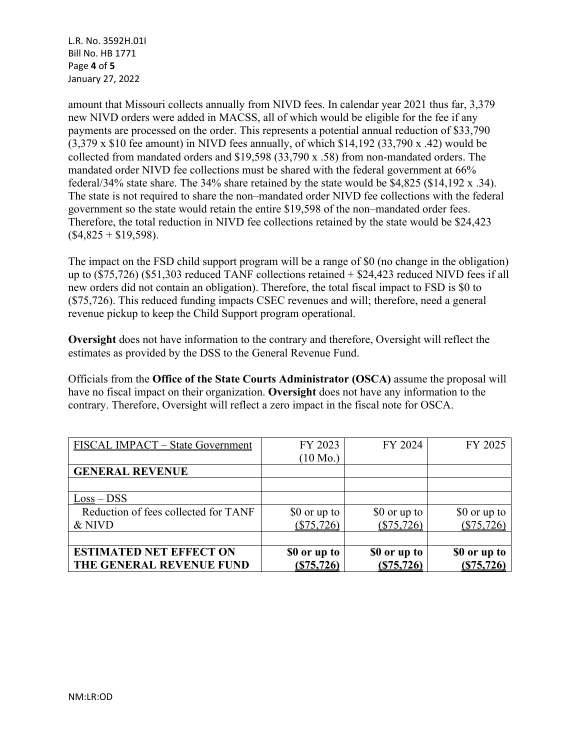L.R. No. 3592H.01I Bill No. HB 1771 Page **4** of **5** January 27, 2022

amount that Missouri collects annually from NIVD fees. In calendar year 2021 thus far, 3,379 new NIVD orders were added in MACSS, all of which would be eligible for the fee if any payments are processed on the order. This represents a potential annual reduction of \$33,790  $(3.379 \times$  \$10 fee amount) in NIVD fees annually, of which \$14,192  $(33.790 \times .42)$  would be collected from mandated orders and \$19,598 (33,790 x .58) from non-mandated orders. The mandated order NIVD fee collections must be shared with the federal government at 66% federal/34% state share. The 34% share retained by the state would be \$4,825 (\$14,192 x .34). The state is not required to share the non–mandated order NIVD fee collections with the federal government so the state would retain the entire \$19,598 of the non–mandated order fees. Therefore, the total reduction in NIVD fee collections retained by the state would be \$24,423  $($4,825 + $19,598).$ 

The impact on the FSD child support program will be a range of \$0 (no change in the obligation) up to (\$75,726) (\$51,303 reduced TANF collections retained + \$24,423 reduced NIVD fees if all new orders did not contain an obligation). Therefore, the total fiscal impact to FSD is \$0 to (\$75,726). This reduced funding impacts CSEC revenues and will; therefore, need a general revenue pickup to keep the Child Support program operational.

**Oversight** does not have information to the contrary and therefore, Oversight will reflect the estimates as provided by the DSS to the General Revenue Fund.

Officials from the **Office of the State Courts Administrator (OSCA)** assume the proposal will have no fiscal impact on their organization. **Oversight** does not have any information to the contrary. Therefore, Oversight will reflect a zero impact in the fiscal note for OSCA.

| FISCAL IMPACT - State Government     | FY 2023            | FY 2024      | FY 2025      |
|--------------------------------------|--------------------|--------------|--------------|
|                                      | $(10 \text{ Mo.})$ |              |              |
| <b>GENERAL REVENUE</b>               |                    |              |              |
|                                      |                    |              |              |
| $Loss - DSS$                         |                    |              |              |
| Reduction of fees collected for TANF | \$0 or up to       | \$0 or up to | \$0 or up to |
| & NIVD                               | $(\$75,726)$       | (\$75,726)   | (\$75,726)   |
|                                      |                    |              |              |
| <b>ESTIMATED NET EFFECT ON</b>       | \$0 or up to       | \$0 or up to | \$0 or up to |
| THE GENERAL REVENUE FUND             | (S75, 726)         | (S75, 726)   | (S75, 726)   |